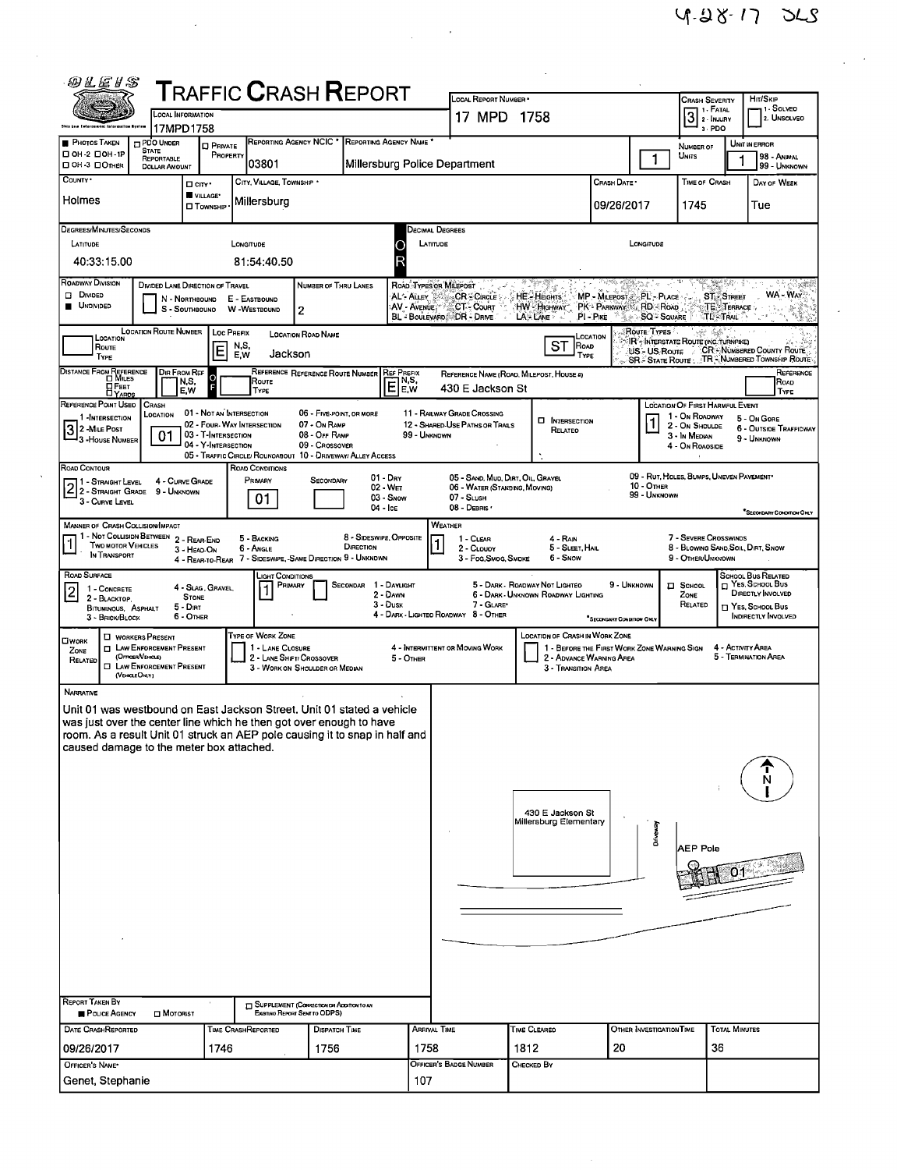$\frac{1}{2}$  ,  $\frac{1}{2}$ 

 $\ddot{\phantom{0}}$ 

| 的汇任日念                                                                                                                                                                                                                                                                                                                                                                                                                                                                          |                                                    |                  |                                      |                                                                                                                                                                                                                                    |                               |                                                                                                                                                                                                    |                                                                                                                                                                                                                   |                                                                       |                                                                         |                                                           |                                                                                                                                                                 |                                        |                                                                                                                              |  |  |  |  |
|--------------------------------------------------------------------------------------------------------------------------------------------------------------------------------------------------------------------------------------------------------------------------------------------------------------------------------------------------------------------------------------------------------------------------------------------------------------------------------|----------------------------------------------------|------------------|--------------------------------------|------------------------------------------------------------------------------------------------------------------------------------------------------------------------------------------------------------------------------------|-------------------------------|----------------------------------------------------------------------------------------------------------------------------------------------------------------------------------------------------|-------------------------------------------------------------------------------------------------------------------------------------------------------------------------------------------------------------------|-----------------------------------------------------------------------|-------------------------------------------------------------------------|-----------------------------------------------------------|-----------------------------------------------------------------------------------------------------------------------------------------------------------------|----------------------------------------|------------------------------------------------------------------------------------------------------------------------------|--|--|--|--|
| TRAFFIC <b>C</b> RASH <b>R</b> EPORT<br><b>CCAL INFORMATION</b>                                                                                                                                                                                                                                                                                                                                                                                                                |                                                    |                  |                                      |                                                                                                                                                                                                                                    |                               | LOCAL REPORT NUMBER .<br>17 MPD 1758                                                                                                                                                               |                                                                                                                                                                                                                   |                                                                       |                                                                         | <b>CRASH SEVERITY</b><br>1 1 - Fatal<br>3 <sup>1. F</sup> |                                                                                                                                                                 | Hrt/Skip<br>11 - Solveo<br>2. UNSOLVEO |                                                                                                                              |  |  |  |  |
| <b>PHOTOS TAKEN</b>                                                                                                                                                                                                                                                                                                                                                                                                                                                            | 17MPD1758<br>PDO UNDER                             |                  |                                      | REPORTING AGENCY NCIC <sup>*</sup>                                                                                                                                                                                                 | REPORTING AGENCY NAME         |                                                                                                                                                                                                    |                                                                                                                                                                                                                   |                                                                       |                                                                         |                                                           | 3 - PDO                                                                                                                                                         |                                        | UNIT IN ERROR                                                                                                                |  |  |  |  |
| □ ОН-2 □ ОН-1Р<br>□ OH -3 □ OTHER                                                                                                                                                                                                                                                                                                                                                                                                                                              | <b>STATE</b><br>REPORTABLE<br><b>DOLLAR AMOUNT</b> | <b>D</b> PRIVATE | PROPERTY<br>03801                    |                                                                                                                                                                                                                                    | Millersburg Police Department |                                                                                                                                                                                                    |                                                                                                                                                                                                                   |                                                                       |                                                                         | $\mathbf{1}$                                              | NUMBER OF<br>UNITS                                                                                                                                              | 1                                      | 98 - ANMAL<br>99 - UNKNOWN                                                                                                   |  |  |  |  |
| COUNTY *                                                                                                                                                                                                                                                                                                                                                                                                                                                                       |                                                    | $\Box$ $\Box$    | CITY, VILLAGE, TOWNSHIP .            |                                                                                                                                                                                                                                    |                               |                                                                                                                                                                                                    |                                                                                                                                                                                                                   |                                                                       | CRASH DATE *                                                            |                                                           | <b>TIME OF CRASH</b>                                                                                                                                            |                                        | DAY OF WEEK                                                                                                                  |  |  |  |  |
| VILLAGE*<br>Holmes<br>Millersburg<br><b>O</b> TOWNSHIP                                                                                                                                                                                                                                                                                                                                                                                                                         |                                                    |                  |                                      |                                                                                                                                                                                                                                    |                               |                                                                                                                                                                                                    |                                                                                                                                                                                                                   |                                                                       | 09/26/2017                                                              |                                                           | 1745                                                                                                                                                            |                                        | Tue                                                                                                                          |  |  |  |  |
| DEGREES/MINUTES/SECONDS                                                                                                                                                                                                                                                                                                                                                                                                                                                        |                                                    |                  |                                      |                                                                                                                                                                                                                                    |                               |                                                                                                                                                                                                    | Decimal Degrees                                                                                                                                                                                                   |                                                                       |                                                                         |                                                           |                                                                                                                                                                 |                                        |                                                                                                                              |  |  |  |  |
| LATITUDE                                                                                                                                                                                                                                                                                                                                                                                                                                                                       |                                                    |                  | LONGITUDE                            |                                                                                                                                                                                                                                    | O                             | LATITUDE<br>LONGITUDE                                                                                                                                                                              |                                                                                                                                                                                                                   |                                                                       |                                                                         |                                                           |                                                                                                                                                                 |                                        |                                                                                                                              |  |  |  |  |
| 40:33:15.00<br>81:54:40.50<br>ROADWAY DIVISION<br>X.                                                                                                                                                                                                                                                                                                                                                                                                                           |                                                    |                  |                                      |                                                                                                                                                                                                                                    |                               |                                                                                                                                                                                                    |                                                                                                                                                                                                                   |                                                                       |                                                                         |                                                           | r Salfa                                                                                                                                                         |                                        |                                                                                                                              |  |  |  |  |
| DIVIDED LANE DIRECTION OF TRAVEL<br>NUMBER OF THRU LANES<br>ROAD TYPES OR MILEPOST<br>DI DIVIDED<br><b>CR-CIRCLE</b><br><b>ST - STREET</b><br>AL'-Auev<br><b>HE HEIGHTS</b><br>MP - MILEPOST PL - PLACE<br>N - NORTHBOUND<br>E - EASTBOUND<br><b>UNDIVIDED</b><br>AV - AVENUE<br>PK - PARKWAY RD - ROAD<br>TE TERRACE :<br>CT- Court<br>HW HIGHWAY<br>W -WESTBOUND<br>S - Southbound<br>2<br>PI-Pre<br>TL-TRAIL<br>BL - BOULEVARD DR - DRIVE<br>LAS LANE<br><b>SQ - SQUARE</b> |                                                    |                  |                                      |                                                                                                                                                                                                                                    |                               |                                                                                                                                                                                                    |                                                                                                                                                                                                                   |                                                                       |                                                                         |                                                           | WA - Way<br>1일 - 종종                                                                                                                                             |                                        |                                                                                                                              |  |  |  |  |
| LOCATION<br>Route<br>TYPE                                                                                                                                                                                                                                                                                                                                                                                                                                                      | <b>LOCATION ROUTE NUMBER</b>                       | ΙE               | LOC PREFIX<br>N,S,<br>Jackson<br>E.W | <b>LOCATION ROAD NAME</b>                                                                                                                                                                                                          |                               | Route Types<br>LOCATION<br>IR <sup>C</sup> , INTERSTATE ROUTE (INC. TURNPIKE)<br>ST<br>ROAD<br>US - US ROUTE - CR - NUMBERED COUNTY ROUTE<br>TYPE<br>SR. STATE ROUTE : TR. NUMBERED TOWNSHIP ROUTE |                                                                                                                                                                                                                   |                                                                       |                                                                         |                                                           |                                                                                                                                                                 |                                        |                                                                                                                              |  |  |  |  |
| DISTANCE FROM REFERENCE<br><b>DEET</b>                                                                                                                                                                                                                                                                                                                                                                                                                                         | Dir From Ref                                       | N,S,<br>E,W      | ROUTE<br><b>TYPE</b>                 | REFERENCE REFERENCE ROUTE NUMBER REF PREFIX                                                                                                                                                                                        | N,S,<br>E<br>E,W              |                                                                                                                                                                                                    | 430 E Jackson St                                                                                                                                                                                                  | REFERENCE NAME (ROAD, MILEPOST, HOUSE #)                              |                                                                         |                                                           |                                                                                                                                                                 |                                        | REFERENCE<br>Road<br>TYPE                                                                                                    |  |  |  |  |
| REFERENCE POINT USED<br>CRASH<br>01 - NOT AN INTERSECTION<br>06 - Five-POINT, OR MORE<br>LOCATION<br>1 -INTERSECTION<br>02 - FOUR-WAY INTERSECTION<br>07 - On RAMP<br>$32$ -Mile Post<br>01<br>03 - T-INTERSECTION<br>08 - OFF RAMP<br>99 - UNKNOWN<br>- 3 - House Number<br>04 - Y-INTERSECTION<br>09 - CROSSOVER<br>05 - TRAFFIC CIRCLE/ ROUNDABOUT 10 - DRIVEWAY/ ALLEY ACCESS                                                                                              |                                                    |                  |                                      |                                                                                                                                                                                                                                    |                               |                                                                                                                                                                                                    | 11 - RAILWAY GRADE CROSSING<br>12 - SHARED-USE PATHS OR TRAILS                                                                                                                                                    | <b>D</b> INTERSECTION<br>RELATEO                                      |                                                                         |                                                           | LOCATION OF FIRST HARMFUL EVENT<br>1 - On Roadway<br>5 - On GORE<br>2 - On Shoulde<br>6 - OUTSIDE TRAFFICWAY<br>3 - In Median<br>9 - UNKNOWN<br>4 - On Roaoside |                                        |                                                                                                                              |  |  |  |  |
| Road Contour<br>ROAD CONDITIONS<br>01 - Day<br>PRIMARY<br>Secondary<br>4 - Curve Grade<br>2 1 - STRAIGHT LEVEL 4 - CURVE GR<br>2 - STRAIGHT GRADE 9 - UNKNOWN<br>$02 - W_{ET}$<br>01<br>03 - Snow<br>3 - Curve Level<br>04 - Ice                                                                                                                                                                                                                                               |                                                    |                  |                                      |                                                                                                                                                                                                                                    |                               |                                                                                                                                                                                                    | 09 - RUT, HOLES, BUMPS, UNEVEN PAVEMENT*<br>05 - SAND, MUD, DIRT, OIL, GRAVEL<br><b>10 - OTHER</b><br>06 - WATER (STANDING, MOVING)<br>99 - UNKNOWN<br>$07 - S$ LUSH<br>08 - DEBRIS .<br>SECONDARY CONDITION ONLY |                                                                       |                                                                         |                                                           |                                                                                                                                                                 |                                        |                                                                                                                              |  |  |  |  |
| <b>MANNER OF CRASH COLLISION/IMPACT</b><br>1 - Not Collision Between<br>8 - SIDESWIPE, OPPOSITE<br>5 - BACKING<br>2 - REAR-END<br><b>TWO MOTOR VEHICLES</b><br>DIRECTION<br>6 - Angle<br>3 - HEAD-ON<br>In TRANSPORT<br>4 - REAR-TO-REAR 7 - SIDESWIPE, SAME DIRECTION 9 - UNKNOWN                                                                                                                                                                                             |                                                    |                  |                                      |                                                                                                                                                                                                                                    |                               |                                                                                                                                                                                                    | WEATHER<br>7 - SEVERE CROSSWINDS<br>1 - CLEAR<br>4 - Rain<br>8 - BLOWING SAND SOIL, DIRT, SNOW<br>2 - CLOUDY<br>5 - Sleet, Hail<br>3 - Fog Smog, Smoke<br>6 - Snow<br>9 - OTHER/UNKNOWN                           |                                                                       |                                                                         |                                                           |                                                                                                                                                                 |                                        |                                                                                                                              |  |  |  |  |
| ROAD SURFACE<br>LIGHT CONDITIONS<br>SECONDAR 1 - DAYLIGHT<br>PRIMARY<br>4 - SLAG, GRAVEL,<br>1 - CONCRETE<br>2<br>2 - Dawn<br><b>STONE</b><br>2 - BLACKTOP,<br>$3 - D$ usk<br>$5 - D$ IRT<br>BITUMINOUS, ASPHALT<br>6 - OTHER<br>3 - BRICK/BLOCK                                                                                                                                                                                                                               |                                                    |                  |                                      |                                                                                                                                                                                                                                    |                               |                                                                                                                                                                                                    | 7 - GLARE*<br>4 - DARK - LIGHTEO ROADWAY 8 - OTHER                                                                                                                                                                | 5 - DARK - ROADWAY NOT LIGHTED<br>6 - DARK - UNKNOWN ROADWAY LIGHTING | 9 - UNKNOWN<br><sup>*</sup> SECONDARY CONDITION ONLY                    |                                                           | <b>I</b> SCHOOL<br>ZONE<br>RELATED                                                                                                                              |                                        | <b>SCHOOL BUS RELATED</b><br><b>T</b> YES SCHOOL BUS<br>DIRECTLY INVOLVED<br>$\sqcap$ Yes, School Bus<br>INDIRECTLY INVOLVED |  |  |  |  |
| TYPE OF WORK ZONE<br><b>D</b> WORKERS PRESENT<br>OWORK<br><b>T LAW ENFORCEMENT PRESENT</b><br>1 - LANE CLOSURE<br>ZONE<br>(OFFICER/VEHICLE)<br>2 - LANE SHIFT/ CROSSOVER<br>$5 -$ OTHER<br>RELATED<br><b>EI LAW ENFORCEMENT PRESENT</b><br>3 - WORK ON SHOULDER OR MEDIAN<br>(VEHOLE ONLY)                                                                                                                                                                                     |                                                    |                  |                                      |                                                                                                                                                                                                                                    |                               |                                                                                                                                                                                                    | 4 - INTERMITTENT OR MOVING WORK                                                                                                                                                                                   | LOCATION OF CRASH IN WORK ZONE<br>3 - TRANSITION AREA                 | 1 - BEFORE THE FIRST WORK ZONE WARNING SIGN<br>2 - ADVANCE WARNING AREA |                                                           |                                                                                                                                                                 | 4 - Activity Area                      | 5 - TERMINATION AREA                                                                                                         |  |  |  |  |
| NARRATIVE<br>was just over the center line which he then got over enough to have<br>caused damage to the meter box attached.<br><b>REPORT TAKEN BY</b><br>POLICE AGENCY                                                                                                                                                                                                                                                                                                        | MOTORIST                                           |                  |                                      | Unit 01 was westbound on East Jackson Street, Unit 01 stated a vehicle<br>room. As a result Unit 01 struck an AEP pole causing it to snap in half and<br>SUPPLEMENT (CORRECTION OR ADDITION TO AN<br>EXISTING REPORT SENT TO ODPS) |                               |                                                                                                                                                                                                    |                                                                                                                                                                                                                   | 430 E Jackson St<br>Millersburg Elementary                            |                                                                         | Driveway                                                  | AEP Pole                                                                                                                                                        |                                        |                                                                                                                              |  |  |  |  |
| DATE CRASHREPORTED                                                                                                                                                                                                                                                                                                                                                                                                                                                             |                                                    |                  | <b>TIME CRASHREPORTED</b>            | <b>DISPATCH TIME</b>                                                                                                                                                                                                               |                               | ARRIVAL TIME                                                                                                                                                                                       |                                                                                                                                                                                                                   | Time Cleared                                                          |                                                                         | OTHER INVESTIGATION TIME                                  |                                                                                                                                                                 | <b>TOTAL MINUTES</b>                   |                                                                                                                              |  |  |  |  |
| 09/26/2017<br>OFFICER'S NAME*                                                                                                                                                                                                                                                                                                                                                                                                                                                  |                                                    | 1746             |                                      | 1756                                                                                                                                                                                                                               |                               | 1758                                                                                                                                                                                               | 1812<br>20<br>OFFICER'S BADGE NUMBER<br>Снескер Вү                                                                                                                                                                |                                                                       |                                                                         |                                                           | 36                                                                                                                                                              |                                        |                                                                                                                              |  |  |  |  |
| Genet, Stephanie                                                                                                                                                                                                                                                                                                                                                                                                                                                               |                                                    |                  |                                      |                                                                                                                                                                                                                                    |                               | 107                                                                                                                                                                                                |                                                                                                                                                                                                                   |                                                                       |                                                                         |                                                           |                                                                                                                                                                 |                                        |                                                                                                                              |  |  |  |  |

 $\hat{\vec{r}}$ 

 $\mathcal{L}^{\text{max}}_{\text{max}}$  , where  $\mathcal{L}^{\text{max}}_{\text{max}}$ 

 $\sim 10$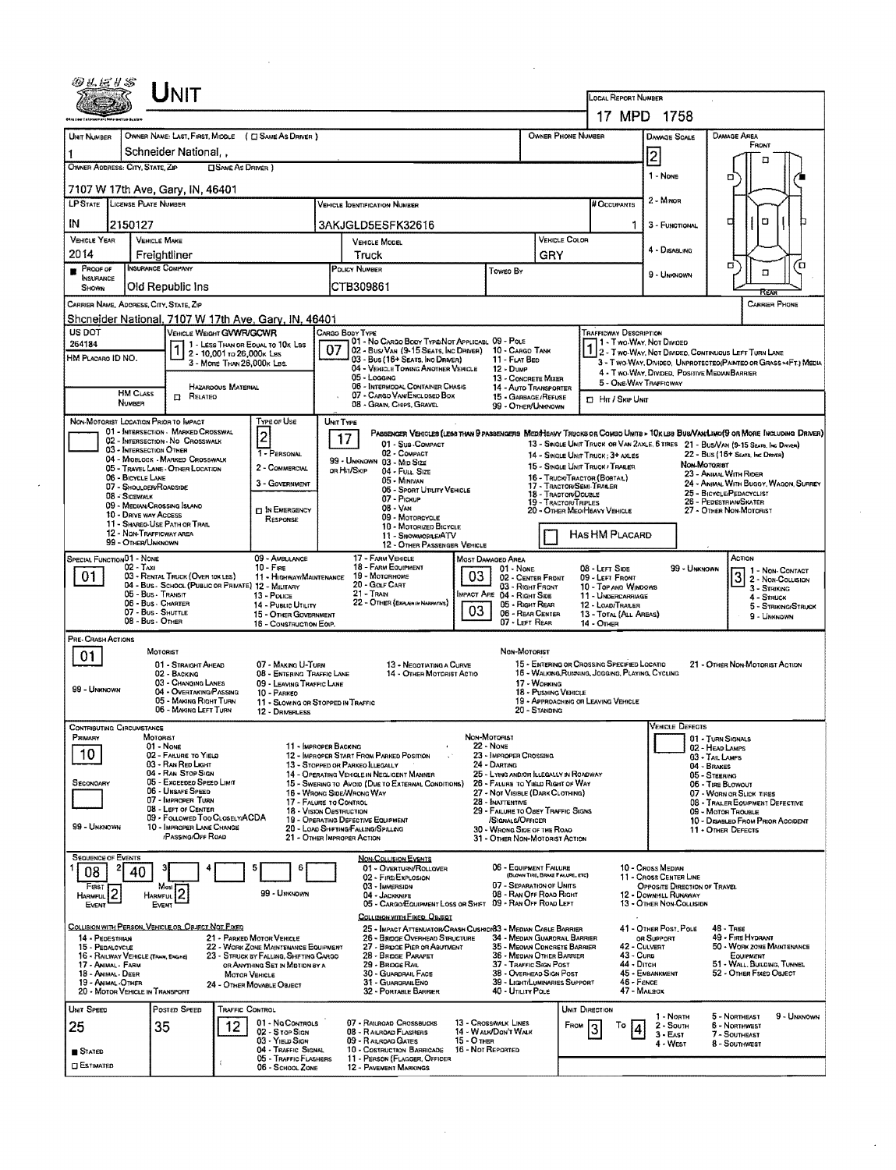|                                                                            | <b>NIT</b>                                                                                                                                                |                                                                                                             |                                                                                                                               |                                                                                                                                       |                                                                                                                                                                                                                                          | LOCAL REPORT NUMBER                                                                         |                                                                                                                                                                  |                                                                                                                             |  |  |  |  |
|----------------------------------------------------------------------------|-----------------------------------------------------------------------------------------------------------------------------------------------------------|-------------------------------------------------------------------------------------------------------------|-------------------------------------------------------------------------------------------------------------------------------|---------------------------------------------------------------------------------------------------------------------------------------|------------------------------------------------------------------------------------------------------------------------------------------------------------------------------------------------------------------------------------------|---------------------------------------------------------------------------------------------|------------------------------------------------------------------------------------------------------------------------------------------------------------------|-----------------------------------------------------------------------------------------------------------------------------|--|--|--|--|
|                                                                            |                                                                                                                                                           |                                                                                                             |                                                                                                                               |                                                                                                                                       | 17 MPD 1758                                                                                                                                                                                                                              |                                                                                             |                                                                                                                                                                  |                                                                                                                             |  |  |  |  |
| UNIT NUMBER                                                                | OWNER NAME: LAST, FIRST, MIDDLE ( C SAME AS DRIVER )                                                                                                      |                                                                                                             |                                                                                                                               |                                                                                                                                       | OWNER PHONE NUMBER                                                                                                                                                                                                                       |                                                                                             | <b>DAMAGE SCALE</b>                                                                                                                                              | DAMAGE AREA<br>FRONT                                                                                                        |  |  |  |  |
| OWNER ADDRESS: CITY, STATE, ZIP                                            | Schneider National, ,                                                                                                                                     | <b>CISAME AS DRIVER</b> )                                                                                   |                                                                                                                               |                                                                                                                                       |                                                                                                                                                                                                                                          |                                                                                             | 2                                                                                                                                                                | л                                                                                                                           |  |  |  |  |
|                                                                            |                                                                                                                                                           |                                                                                                             |                                                                                                                               |                                                                                                                                       |                                                                                                                                                                                                                                          |                                                                                             | 1 - None                                                                                                                                                         | ם                                                                                                                           |  |  |  |  |
| LP STATE LICENSE PLATE NUMBER                                              | 7107 W 17th Ave, Gary, IN, 46401                                                                                                                          |                                                                                                             | <b>VEHICLE IDENTIFICATION NUMBER</b>                                                                                          |                                                                                                                                       |                                                                                                                                                                                                                                          | # OCCUPANTS                                                                                 | 2 - Minon                                                                                                                                                        |                                                                                                                             |  |  |  |  |
| IN<br>2150127                                                              |                                                                                                                                                           |                                                                                                             | 3AKJGLD5ESFK32616                                                                                                             |                                                                                                                                       |                                                                                                                                                                                                                                          | 3 - FUNCTIONAL                                                                              | O<br>п                                                                                                                                                           |                                                                                                                             |  |  |  |  |
| <b>VEHICLE YEAR</b><br>2014                                                | <b>VEHICLE MAKE</b>                                                                                                                                       |                                                                                                             | VEHICLE MODEL                                                                                                                 |                                                                                                                                       | VEHICLE COLOR                                                                                                                                                                                                                            |                                                                                             | 4 - DISABLING                                                                                                                                                    |                                                                                                                             |  |  |  |  |
| PROOF OF                                                                   | Freightliner<br><b>INSURANCE COMPANY</b>                                                                                                                  |                                                                                                             | Truck<br>POLICY NUMBER                                                                                                        | Toweo By                                                                                                                              | GRY                                                                                                                                                                                                                                      |                                                                                             | 9 - UNKNOWN                                                                                                                                                      | α<br>'о<br>$\Box$                                                                                                           |  |  |  |  |
| INSURANCE<br>SHOWN                                                         | Old Republic Ins                                                                                                                                          |                                                                                                             | CTB309861                                                                                                                     |                                                                                                                                       |                                                                                                                                                                                                                                          |                                                                                             |                                                                                                                                                                  | REAR                                                                                                                        |  |  |  |  |
| CARRIER NAME, ADORESS, CITY, STATE, ZIP                                    |                                                                                                                                                           |                                                                                                             |                                                                                                                               |                                                                                                                                       |                                                                                                                                                                                                                                          |                                                                                             |                                                                                                                                                                  | CARRIER PHONE                                                                                                               |  |  |  |  |
| US DOT                                                                     | Shcneider National, 7107 W 17th Ave, Gary, IN, 46401<br>VEHICLE WEIGHT GVWR/GCWR                                                                          |                                                                                                             | CARGO BODY TYPE                                                                                                               |                                                                                                                                       |                                                                                                                                                                                                                                          | <b>TRAFFICWAY DESCRIPTION</b>                                                               |                                                                                                                                                                  |                                                                                                                             |  |  |  |  |
| 264184<br>HM PLACARO ID NO.                                                |                                                                                                                                                           | 1 - LESS THAN OR EQUAL TO 10K LBS<br>2 - 10.001 to 26,000x Les                                              | 01 - No CARGO BODY TYPE/NOT APPLICABL 09 - POLE<br>07<br>02 - Bus/Van (9-15 Seats, Inc Driver) 10 - Cargo Tank                |                                                                                                                                       |                                                                                                                                                                                                                                          |                                                                                             | 1 1 - T WO-WAY, NOT DIVIDED<br>1 2 - T WO-WAY, NOT DIVIDEO, CONTINUOUS LEFT TURN LANE                                                                            |                                                                                                                             |  |  |  |  |
|                                                                            |                                                                                                                                                           | 3 - MORE THAN 26,000K LBS.                                                                                  | 03 - Bus (16+ Seats, Inc Driver)<br>04 - VEHICLE TOWING ANOTHER VEHICLE<br>05 - Logging                                       | 11 - FLAT BED<br>12 - DUMP<br>13 - CONCRETE MIXER                                                                                     | 3 - Two WAY DIVIDEO, UNPROTECTEO(PAINTEO OR GRASS >4FT.) MEDIA<br>4 - Two-Way, Divided, Positive Median Barrier                                                                                                                          |                                                                                             |                                                                                                                                                                  |                                                                                                                             |  |  |  |  |
| <b>HM CLASS</b>                                                            | Hazaroous Material<br><b>D</b> RELATED                                                                                                                    |                                                                                                             | 06 - INTERMODAL CONTAINER CHASIS<br>07 - CARGO VAN/ENCLOSEO BOX                                                               | 14 - AUTO TRANSPORTER<br>15 - GARBAGE/REFUSE                                                                                          |                                                                                                                                                                                                                                          | 5 - ONE-WAY TRAFFICWAY<br><b>D</b> Hr / Ske UNIT                                            |                                                                                                                                                                  |                                                                                                                             |  |  |  |  |
| NUMBER<br>NON-MOTORIST LOCATION PRIOR TO IMPACT                            |                                                                                                                                                           | Type or Use                                                                                                 | 08 - Gran, Chips, Gravel                                                                                                      |                                                                                                                                       | 99 - OTHER/UNKNOWN                                                                                                                                                                                                                       |                                                                                             |                                                                                                                                                                  |                                                                                                                             |  |  |  |  |
|                                                                            | 01 - INTERSECTION - MARKED CROSSWAL<br>02 - INTERSECTION - NO CROSSWALK                                                                                   | $\overline{\mathbf{c}}$                                                                                     | UNIT TYPE<br>17                                                                                                               |                                                                                                                                       |                                                                                                                                                                                                                                          |                                                                                             |                                                                                                                                                                  | PASSENGER VEHICLES (LESS THAN 9 PASSENGERS MEDIMEAVY TRUCKS OR COMBO UNITS > 10K LES BUS/VAMUMO(9 OR MORE INCLUDING DRIVER) |  |  |  |  |
|                                                                            | 03 - INTERSECTION OTHER<br>04 - MIOBLOCK - MARKED CROSSWALK                                                                                               | 1 - PERSONAL                                                                                                | 01 - Sus-Compact<br>02 - COMPACT<br>99 - UNKNOWN 03 - MID SIZE                                                                |                                                                                                                                       |                                                                                                                                                                                                                                          | 14 - SINGLE UNIT TRUCK: 3+ AXLES                                                            | 13 - SINGLE UNIT TRUCK OR VAN ZAXLE, 6 TIRES 21 - BUS/VAN (9-15 SEATS, INC DRIVER)<br>22 - Bus (16+ Seats, Inc Driver)<br>NON-MOTORIST<br>23 - Animal With Rider |                                                                                                                             |  |  |  |  |
| 06 - BICYCLE LANE                                                          | 05 - Travel LANE - OTHER LOCATION                                                                                                                         | 2 - COMMERCIAL                                                                                              | OR HIT/SKIP<br>04 - FULL SIZE<br>05 - Minivan                                                                                 |                                                                                                                                       |                                                                                                                                                                                                                                          | 15 - SINGLE UNIT TRUCK / TRAILER<br>16 - TRUCK/TRACTOR (BOBTAIL)                            |                                                                                                                                                                  |                                                                                                                             |  |  |  |  |
| <b>08 - SIDEWALK</b>                                                       | 07 - SHOULDER/ROADSIDE                                                                                                                                    | 3 - GOVERNMENT                                                                                              | 06 - SPORT UTILITY VEHICLE<br>07 - Placup                                                                                     |                                                                                                                                       | 17 - TRACTOR/SEMI-TRAILER<br>18 - Tractor/Double<br><b>19 - TRACTOR/TRIPLES</b>                                                                                                                                                          | 24 - ANIMAL WITH BUGGY, WAGON, SURREY<br>25 - BICYCLE/PEDACYCLIST<br>26 - PEDESTRIAN SKATER |                                                                                                                                                                  |                                                                                                                             |  |  |  |  |
| 10 - DRIVE WAY ACCESS                                                      | 09 - MEDIAN/CROSSING ISLAND                                                                                                                               | <b>IN EMERGENCY</b><br>RESPONSE                                                                             | 08 - VAN<br>09 - MOTORCYCLE                                                                                                   |                                                                                                                                       | 20 - OTHER MEO/HEAVY VEHICLE                                                                                                                                                                                                             | 27 - OTHER NON-MOTORIST                                                                     |                                                                                                                                                                  |                                                                                                                             |  |  |  |  |
| 99 - OTHER/UNKNOWN                                                         | 11 - SHARED-USE PATH OR TRAIL<br>12 - NON-TRAFFICWAY AREA                                                                                                 |                                                                                                             | 10 - MOTORIZED BICYCLE<br>11 - SNOWMOBLE/ATV                                                                                  |                                                                                                                                       |                                                                                                                                                                                                                                          | HAS HM PLACARD                                                                              |                                                                                                                                                                  |                                                                                                                             |  |  |  |  |
| SPECIAL FUNCTION 01 - NONE                                                 |                                                                                                                                                           | 09 - AMBULANCE                                                                                              | 12 - OTHER PASSENGER VEHICLE<br>17 - FARM VEHICLE                                                                             | MOST DAMAGED AREA                                                                                                                     |                                                                                                                                                                                                                                          |                                                                                             |                                                                                                                                                                  | ACTION                                                                                                                      |  |  |  |  |
| $02 - TAXI$<br>01                                                          | 03 - RENTAL TRUCK (OVER 10K LBS)<br>04 - Bus - SCHOOL (PUBLIC OR PRIVATE) 12 - MILITARY<br>05 - Bus - Transit<br>06 - Bus - CHARTER<br>07 - Bus - SHUTTLE | $10 -$ Fire<br>11 - HIGHWAY/MAINTENANCE<br>$13 - P_{OLICE}$<br>14 - PUBLIC UTILITY<br>15 - OTHER GOVERNMENT | 18 - FARM EQUIPMENT<br>19 - Мотовноме<br>20 - GOLF CART<br>$21 - Trans$<br>22 - OTHER (EXPLAN IN NARRATIVE)                   | $01 - None$<br>03<br>02 - CENTER FRONT<br>03 - RIGHT FRONT<br>IMPACT ARE 04 - RIGHT SIDE<br>05 - Right Rear<br>03<br>06 - REAR CENTER | 08 - LEFT SIDE<br>99 - Unknown<br>$31$ - Non-Contact<br>09 - LEFT FRONT<br>10 - TOP AND WINDOWS<br>3 - STRIKING<br>11 - UNDERCARRIAGE<br>4 - STRUCK<br>12 - LOAD/TRAILER<br>5 - STRIKING/STRUCK<br>13 - TOTAL (ALL AREAS)<br>9 - UNKNOWN |                                                                                             |                                                                                                                                                                  |                                                                                                                             |  |  |  |  |
| PRE-CRASH ACTIONS                                                          | 08 - Bus - OTHER                                                                                                                                          | 16 - CONSTRUCTION EOIP.                                                                                     |                                                                                                                               |                                                                                                                                       | 07 - LEFT REAR                                                                                                                                                                                                                           | 14 - Отнев                                                                                  |                                                                                                                                                                  |                                                                                                                             |  |  |  |  |
| 01                                                                         | MOTORIST<br>01 - STRAIGHT AHEAD                                                                                                                           | 07 - MAKING U-TURN                                                                                          | 13 - NEGOTIATING A CURVE                                                                                                      |                                                                                                                                       | NON-MOTORIST                                                                                                                                                                                                                             | 15 - ENTERING OR CROSSING SPECIFIED LOCATIO                                                 |                                                                                                                                                                  | 21 - OTHER NON-MOTORIST ACTION                                                                                              |  |  |  |  |
| 99 - UNKNOWN                                                               | 02 - BACKING<br>03 - CHANGING LANES                                                                                                                       | 08 - ENTERING TRAFFIC LANE<br>09 - LEAVING TRAFFIC LANE                                                     | 14 - OTHER MOTORIST ACTIO                                                                                                     | 17 - WORKING                                                                                                                          | 16 - WALKING, RUMNING, JOGGING, PLAYING, CYCLING                                                                                                                                                                                         |                                                                                             |                                                                                                                                                                  |                                                                                                                             |  |  |  |  |
|                                                                            | 04 - Overtaking/Passing<br>05 - MAKING RIGHT TURN<br>- Making Left Turn                                                                                   | 10 - PARKED                                                                                                 | 11 - SLOWING OR STOPPED IN TRAFFIC                                                                                            |                                                                                                                                       | 18 - Pushing Vehicle<br>19 - APPROACHING OR LEAVING VEHICLE                                                                                                                                                                              |                                                                                             |                                                                                                                                                                  |                                                                                                                             |  |  |  |  |
| <b>CONTRIBUTING CIRCUMSTANCE</b>                                           |                                                                                                                                                           | 12 - DRIVERLESS                                                                                             |                                                                                                                               |                                                                                                                                       | 20 - Standing                                                                                                                                                                                                                            |                                                                                             | <b>VEHICLE DEFECTS</b>                                                                                                                                           |                                                                                                                             |  |  |  |  |
| PRIMARY                                                                    | <b>MOTORIST</b><br>$01 - None$                                                                                                                            |                                                                                                             | 11 - IMPROPER BACKING                                                                                                         | NON-MOTORIST<br><b>22 - NONE</b>                                                                                                      |                                                                                                                                                                                                                                          |                                                                                             |                                                                                                                                                                  | 01 - TURN SIGNALS<br>02 - HEAD LAMPS                                                                                        |  |  |  |  |
| 10                                                                         | 02 - FAILURE TO YIELD<br>03 - RAN RED LIGHT<br>04 - RAN STOP SIGN                                                                                         |                                                                                                             | 12 - IMPROPER START FROM PARKED POSITION<br>13 - Stopped or PARKEO LLEGALLY                                                   | 23 - IMPROPER CROSSING<br>24 - DARTING                                                                                                |                                                                                                                                                                                                                                          |                                                                                             | 03 - TAIL LAMPS<br>04 - BRAKES                                                                                                                                   |                                                                                                                             |  |  |  |  |
| SECONDARY                                                                  | 05 - Exceeded Speed Limit<br>06 - UNSAFE SPEED                                                                                                            |                                                                                                             | 14 - OPERATING VEHICLE IN NEGLIGENT MANNER<br>15 - Swering to Avoid (Due to External Conditions)<br>16 - WRONG SIDE/WRONG WAY | 25 - LYING AND/OR ILLEGALLY IN ROADWAY<br>26 - FALURE TO YIELD RIGHT OF WAY<br>27 - NOT VISIBLE (DARK CLOTHING)                       |                                                                                                                                                                                                                                          | 05 - STEERING<br>06 - TIRE BLOWOUT<br>07 - WORN OR SLICK TIRES                              |                                                                                                                                                                  |                                                                                                                             |  |  |  |  |
|                                                                            | 07 - IMPROPER TURN<br>08 - LEFT OF CENTER                                                                                                                 |                                                                                                             | 17 - FALURE TO CONTROL<br>18 - VISION OBSTRUCTION                                                                             | 28 - Inattentive<br>29 - FAILURE TO OBEY TRAFFIC SIGNS                                                                                |                                                                                                                                                                                                                                          | 08 - TRAILER EQUIPMENT DEFECTIVE<br>09 - Motor Trouble                                      |                                                                                                                                                                  |                                                                                                                             |  |  |  |  |
| 99 - UNKNOWN                                                               | 09 - Followed Too Closely/ACDA<br>10 - IMPROPER LANE CHANGE                                                                                               |                                                                                                             | 19 - OPERATING DEFECTIVE EQUIPMENT<br>20 - LOAD SHIFTING/FALLING/SPILLING                                                     | /Signals/Officer<br>30 - WRONG SIDE OF THE ROAD                                                                                       |                                                                                                                                                                                                                                          |                                                                                             | 10 - DISABLED FROM PRIOR ACCIDENT<br>11 - OTHER DEFECTS                                                                                                          |                                                                                                                             |  |  |  |  |
|                                                                            | /PASSING/OFF ROAD                                                                                                                                         |                                                                                                             | 21 - OTHER IMPROPER ACTION                                                                                                    |                                                                                                                                       | 31 - OTHER NON-MOTORIST ACTION                                                                                                                                                                                                           |                                                                                             |                                                                                                                                                                  |                                                                                                                             |  |  |  |  |
| <b>SEQUENCE OF EVENTS</b><br>08<br>40                                      |                                                                                                                                                           |                                                                                                             | <b>NON-COLLISION EVENTS</b><br>01 - Overturn/Rollover                                                                         |                                                                                                                                       | 06 - EQUIPMENT FAILURE<br>(BLOWN TIRE, BRAKE FAILURE, ETC)                                                                                                                                                                               |                                                                                             | 10 - Cross Median                                                                                                                                                |                                                                                                                             |  |  |  |  |
| Finst                                                                      | Masi                                                                                                                                                      | 99 - UNKNOWN                                                                                                | 02 - FIRE/EXPLOSION<br>03 - IMMERSION<br>04 - JACKKNIFE                                                                       |                                                                                                                                       | 07 - SEPARATION OF UNITS<br>08 - RAN OFF ROAD RIGHT                                                                                                                                                                                      |                                                                                             | 11 - Cross CENTER LINE<br>OPPOSITE DIRECTION OF TRAVEL<br>12 - DOWNHILL RUNAWAY                                                                                  |                                                                                                                             |  |  |  |  |
| HARMFUL <sup>2</sup><br>EVENT                                              | <b>HARMFUL</b><br>EVENT                                                                                                                                   |                                                                                                             | 05 - CARGO/EQUIPMENT LOSS OR SHIFT                                                                                            |                                                                                                                                       | 09 - RAN OFF ROAD LEFT                                                                                                                                                                                                                   |                                                                                             | 13 - OTHER NON-COLLISION                                                                                                                                         |                                                                                                                             |  |  |  |  |
|                                                                            | <u>COLLISION WITH PERSON, VEHICLE OR OBJECT NOT FIXED</u>                                                                                                 |                                                                                                             | COLLISION WITH FIXED, OBJECT<br>25 - IMPACT ATTENUATOR/CRASH CUSHIONS3 - MEDIAN CABLE BARRIER                                 |                                                                                                                                       | 34 - MEDIAN GUARORAIL BARRIER                                                                                                                                                                                                            |                                                                                             | 41 - OTHER POST, POLE                                                                                                                                            | 48 - TREE                                                                                                                   |  |  |  |  |
| 14 - PEDESTRIAN<br>15 - PEDALCYCLE<br>16 - RAILWAY VEHICLE (TRAIN, ENGINE) |                                                                                                                                                           | 21 - PARKED MOTOR VEHICLE<br>22 - WORK ZONE MAINTENANCE EQUIPMENT<br>23 - STRUCK BY FALLING, SHIFTING CARGO | 26 - BRIDGE OVERHEAD STRUCTURE<br>27 - BRIDGE PIER OR ABUTMENT<br>28 - BRIDGE PARAPET                                         | 35 - MEOWN CONCRETE BARRIER<br>36 - Median Other Barrier                                                                              |                                                                                                                                                                                                                                          | OR SUPPORT<br>42 - CULVERT                                                                  | 49 - FIRE HYDRANT<br>50 - WORK ZONE MAINTENANCE<br>EQUIPMENT                                                                                                     |                                                                                                                             |  |  |  |  |
| 17 - ANIMAL - FARM<br>18 - Animal - Deer                                   |                                                                                                                                                           | OR ANYTHING SET IN MOTION BY A<br>MOTOR VEHICLE                                                             | 29 - BRIDGE RAIL<br>30 - GUARDRAIL FACE                                                                                       | 37 - TRAFFIC SIGN POST<br>38 - Overhead Sign Post                                                                                     | 43 - Curs<br>44 - Опсн<br>51 - WALL, BUILDING, TUNNEL<br>45 - EMBANKMENT<br>52 - OTHER FIXED OBJECT                                                                                                                                      |                                                                                             |                                                                                                                                                                  |                                                                                                                             |  |  |  |  |
| 19 - ANIMAL OTHER<br>20 - MOTOR VEHICLE IN TRANSPORT                       |                                                                                                                                                           | 24 - OTHER MOVABLE OBJECT                                                                                   | 31 - GUARDRAILENO<br>32 - PORTABLE BARRIER                                                                                    |                                                                                                                                       | 39 - LIGHT/LUMINARIES SUPPORT<br>40 - UTILITY POLE                                                                                                                                                                                       |                                                                                             | 46 - Fence<br>47 - Malbox                                                                                                                                        |                                                                                                                             |  |  |  |  |
| UNIT SPEED                                                                 | Posted SPEED                                                                                                                                              | Traffic Control                                                                                             |                                                                                                                               |                                                                                                                                       |                                                                                                                                                                                                                                          | UNIT DIRECTION                                                                              | 1 - Norm                                                                                                                                                         | 5 - NORTHEAST<br>9 - UNKNOWN                                                                                                |  |  |  |  |
| 25                                                                         | 35                                                                                                                                                        | 01 - No CONTROLS<br>12<br>02 - Stop Sign                                                                    | 07 - RAILROAD CROSSBUCKS<br>08 - RAILROAD FLASHERS                                                                            | 13 - CROSSWALK LINES<br>14 - WALK/DON'T WALK                                                                                          |                                                                                                                                                                                                                                          | FROM<br>To<br>4                                                                             | $2 -$ South<br>$3 - E$ AST                                                                                                                                       | 6 - NORTHWEST<br>7 - SOUTHEAST                                                                                              |  |  |  |  |
| STATED                                                                     |                                                                                                                                                           | 03 - YIELD SIGN<br>04 - TRAFFIC SIGNAL                                                                      | 09 - RAILROAD GATES<br>10 - Costruction Barricade                                                                             | 15 - O THER<br>16 - Not Reported                                                                                                      |                                                                                                                                                                                                                                          |                                                                                             | 4 - West                                                                                                                                                         | 8 - SOUTHWEST                                                                                                               |  |  |  |  |
| <b>CI ESTIMATED</b>                                                        |                                                                                                                                                           | 05 - Traffic Flashers<br>06 - SCHOOL ZONE                                                                   | 11 - PERSON (FLAGGER, OFFICER<br><b>12 - PAVEMENT MARKINGS</b>                                                                |                                                                                                                                       |                                                                                                                                                                                                                                          |                                                                                             |                                                                                                                                                                  |                                                                                                                             |  |  |  |  |

 $\mathcal{L}^{\text{max}}_{\text{max}}$  , where  $\mathcal{L}^{\text{max}}_{\text{max}}$